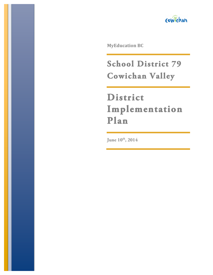

**MyEducation BC** 

**School District 79 Cowichan Valley** 

# **District Implementation Plan**

June  $10^{th}$ , 2014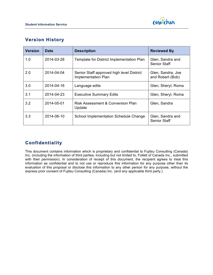



## **Version History**

| <b>Version</b> | <b>Date</b> | <b>Description</b>                                                      | <b>Reviewed By</b>                      |
|----------------|-------------|-------------------------------------------------------------------------|-----------------------------------------|
| 1.0            | 2014-03-28  | Template for District Implementation Plan                               | Glen, Sandra and<br><b>Senior Staff</b> |
| 2.0            | 2014-04-04  | Senior Staff approved high level District<br><b>Implementation Plan</b> | Glen, Sandra, Joe<br>and Robert (Bob)   |
| 3.0            | 2014-04-16  | Language edits                                                          | Glen, Sheryl, Roma                      |
| 3.1            | 2014-04-23  | <b>Executive Summary Edits</b>                                          | Glen, Sheryl, Roma                      |
| 3.2            | 2014-05-01  | <b>Risk Assessment &amp; Conversion Plan</b><br>Update                  | Glen, Sandra                            |
| 3.3            | 2014-06-10  | School Implementation Schedule Change                                   | Glen, Sandra and<br><b>Senior Staff</b> |

### **Confidentiality**

This document contains information which is proprietary and confidential to Fujitsu Consulting (Canada) Inc. (including the information of third parties, including but not limited to, Follett of Canada Inc., submitted with their permission). In consideration of receipt of this document, the recipient agrees to treat this information as confidential and to not use or reproduce this information for any purpose other than its evaluation of this proposal or disclose this information to any other person for any purpose, without the express prior consent of Fujitsu Consulting (Canada) Inc. (and any applicable third party.)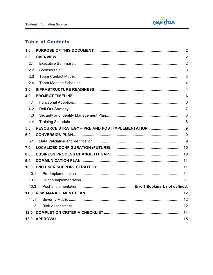

### **Table of Contents**

| 1.0  |                                                    |  |
|------|----------------------------------------------------|--|
| 2.0  |                                                    |  |
| 2.1  |                                                    |  |
| 2.2  |                                                    |  |
| 2.3  |                                                    |  |
| 2.4  |                                                    |  |
| 3.0  |                                                    |  |
| 4.0  |                                                    |  |
| 4.1  |                                                    |  |
| 4.2  |                                                    |  |
| 4.3  |                                                    |  |
| 4.4  |                                                    |  |
| 5.0  | RESOURCE STRATEGY - PRE AND POST IMPLEMENTATION  9 |  |
| 6.0  |                                                    |  |
| 6.1  |                                                    |  |
| 7.0  |                                                    |  |
| 8.0  |                                                    |  |
| 9.0  |                                                    |  |
|      |                                                    |  |
| 10.1 |                                                    |  |
| 10.2 |                                                    |  |
| 10.3 |                                                    |  |
|      |                                                    |  |
| 11.1 |                                                    |  |
| 11.2 |                                                    |  |
|      |                                                    |  |
|      |                                                    |  |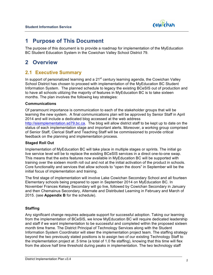

# **1 Purpose of This Document**

The purpose of this document is to provide a roadmap for implementation of the MyEducation BC Student Education System in the Cowichan Valley School District 79.

# **2 Overview**

### **2.1 Executive Summary**

In support of personalized learning and a  $21<sup>st</sup>$  century learning agenda, the Cowichan Valley School District has chosen to proceed with implementation of the MyEducation BC Student Information System. The planned schedule to legacy the existing BCeSIS out of production and to have all schools utilizing the majority of features in MyEducation BC is to take sixteen months. The plan involves the following key strategies:

#### **Communications**

Of paramount importance is communication to each of the stakeholder groups that will be learning the new system. A final communications plan will be approved by Senior Staff in April 2014 and will include a dedicated blog accessed at the web address http://sisimplementation.sd79.bc.ca. The blog will allow district staff to be kept up to date on the status of each implementation stage and important alerts. Moreover, a working group comprised of Senior Staff, Clerical Staff and Teaching Staff will be commissioned to provide critical feedback on the planning and implementation process.

#### **Staged Roll Out**

Implementation of MyEducation BC will take place in multiple stages or sprints. The initial go live service level will be to replace the existing BCeSIS services in a direct one-to-one swap. This means that the extra features now available in MyEducation BC will be supported with training over the sixteen month roll out and not at the initial activation of the product in schools. Core functionality and services that allow schools to "open the doors" in September will be the initial focus of implementation and training.

The first stage of implementation will involve Lake Cowichan Secondary School and all fourteen Elementary schools being prepared to open in September 2014 on MyEducation BC. In November Frances Kelsey Secondary will go live, followed by Cowichan Secondary in January and then Chemainus Secondary, Alternate and Distributed Learning in February and March of 2015. (see **Appendix B** for the schedule).

#### **Staffing**

Any significant change requires adequate support for successful adoption. Taking our learning from the implementation of BCeSIS, we know MyEducation BC will require dedicated leadership and staff if we want implementation to be successful and completed within the proposed sixteen month time frame. The District Principal of Technology Services along with the Student Information System Coordinator will steer the implementation project team. The staffing strategy beyond the two previously stated positions is to assign two of our existing Technology Staff to the implementation project at .5 time (a total of 1.0 fte staffing), knowing that this time will flex from the above half time threshold during peaks in implementation. The two technology staff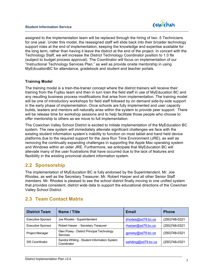

assigned to the implementation team will be replaced through the hiring of two .5 Technicians for one year. Under this model, the reassigned staff will slide back into their broader technology support roles at the end of implementation, keeping the knowledge and expertise available for the long term, rather than having it leave the district at the end of the project. In concert with the Technology Staff, we will increase the District Technology Coordinator position to 1.0 fte (subject to budget process approval). The Coordinator will focus on implementation of our "Instructional Technology Services Plan," as well as provide onsite mentorship in using MyEdcuationBC for attendance, gradebook and student and teacher portals.

#### **Training Model**

The training model is a train-the-trainer concept where the district trainers will receive their training from the Fujitsu team and then in turn train the field staff in use of MyEducation BC and any resulting business process modifications that arise from implementation. The training model will be one of introductory workshops for field staff followed by on demand side-by-side support in the early phase of implementation. Once schools are fully implemented and user capacity builds, leaders and mentors will naturally arise within the system to provide peer support. There will be release time for workshop sessions and to help facilitate those people who choose to offer mentorship to others as we move to full implementation.

The Cowichan Valley School District is excited to initiate implementation of the MyEducation BC system. The new system will immediately alleviate significant challenges we face with the existing student information system's inability to function on most tablet and hand held device platforms due to the required support for the Java Run Time Environment (JRE), as well as removing the continually expanding challenges in supporting the Apple Mac operating system and Windows within an older JRE. Furthermore, we anticipate that MyEducation BC will alleviate many of the user frustrations that have occurred due to the lack of features and flexibility in the existing provincial student information system.

### **2.2 Sponsorship**

The implementation of MyEducation BC is fully endorsed by the Superintendent, Mr. Joe Rhodes, as well as the Secretary Treasurer, Mr. Robert Harper and all other Senior Staff members. Mr. Rhodes is pleased to see the school district finally moving to one unified system that provides consistent, district wide data to support the educational directions of the Cowichan Valley School District.

| <b>District Team</b>     | Name / Title                                                  | <b>Email</b>        | <b>Phone</b>   |
|--------------------------|---------------------------------------------------------------|---------------------|----------------|
| <b>Executive Sponsor</b> | Joe Rhodes - Superintendent                                   | jrhodes@sd79.bc.ca  | (250) 748-0321 |
| <b>Executive Sponsor</b> | Robert Harper - Secretary Treasurer                           | rharper@sd79.bc.ca  | (250)748-0321  |
| Project Manager          | Glen Posey - District Principal Technology<br><b>Services</b> | gposey@sd79.bc.ca   | (250)748-0321  |
| <b>SIS Coordinator</b>   | Sandra Whiting - Student Information System<br>Coordinator    | swhiting@sd79.bc.ca | (250) 748-0321 |

### **2.3 Team Contact Matrix**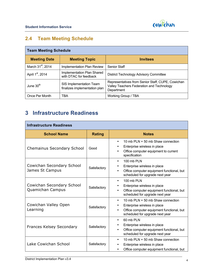

# **2.4 Team Meeting Schedule**

| <b>Team Meeting Schedule</b>  |                                                          |                                                                                                              |  |  |
|-------------------------------|----------------------------------------------------------|--------------------------------------------------------------------------------------------------------------|--|--|
| <b>Meeting Date</b>           | <b>Meeting Topic</b>                                     | <b>Invitees</b>                                                                                              |  |  |
| March 31 <sup>st</sup> , 2014 | Implementation Plan Review                               | <b>Senior Staff</b>                                                                                          |  |  |
| April 1 <sup>st</sup> , 2014  | Implementation Plan Shared<br>with DTAC for feedback     | <b>District Technology Advisory Committee</b>                                                                |  |  |
| June 30 <sup>th</sup>         | SIS Implementation Team<br>finalizes implementation plan | Representatives from Senior Staff, CUPE, Cowichan<br>Valley Teachers Federation and Technology<br>Department |  |  |
| Once Per Month                | TBA                                                      | Working Group / TBA                                                                                          |  |  |

# **3 Infrastructure Readiness**

| <b>Infrastructure Readiness</b>               |               |                                                                                                                                                                               |  |  |
|-----------------------------------------------|---------------|-------------------------------------------------------------------------------------------------------------------------------------------------------------------------------|--|--|
| <b>School Name</b>                            | <b>Rating</b> | <b>Notes</b>                                                                                                                                                                  |  |  |
| <b>Chemainus Secondary School</b>             | Good          | 10 mb PLN + 50 mb Shaw connection<br>$\bullet$<br>Enterprise wireless in place<br>Office computer equipment to current<br>specification                                       |  |  |
| Cowichan Secondary School<br>James St Campus  | Satisfactory  | 100 mb PLN<br>$\bullet$<br>Enterprise wireless in place<br>Office computer equipment functional, but<br>scheduled for upgrade next year                                       |  |  |
| Cowichan Secondary School<br>Quamichan Campus | Satisfactory  | 100 mb PLN<br>$\bullet$<br>Enterprise wireless in place<br>٠<br>Office computer equipment functional, but<br>٠<br>scheduled for upgrade next year                             |  |  |
| Cowichan Valley Open<br>Learning              | Satisfactory  | 10 mb $PLN + 50$ mb Shaw connection<br>$\bullet$<br>Enterprise wireless in place<br>Office computer equipment functional, but<br>$\bullet$<br>scheduled for upgrade next year |  |  |
| <b>Frances Kelsey Secondary</b>               | Satisfactory  | 60 mb PLN<br>$\bullet$<br>Enterprise wireless in place<br>٠<br>Office computer equipment functional, but<br>scheduled for upgrade next year                                   |  |  |
| Lake Cowichan School                          | Satisfactory  | 10 mb PLN + 50 mb Shaw connection<br>$\bullet$<br>Enterprise wireless in place<br>Office computer equipment functional, but                                                   |  |  |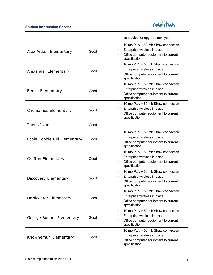

|                              |      | scheduled for upgrade next year                                                                                                                                   |
|------------------------------|------|-------------------------------------------------------------------------------------------------------------------------------------------------------------------|
| Alex Aitken Elementary       | Good | 10 mb PLN + 50 mb Shaw connection<br>$\bullet$<br>Enterprise wireless in place<br>$\bullet$<br>Office computer equipment to current<br>٠<br>specification         |
| Alexander Elementary         | Good | 10 mb PLN + 50 mb Shaw connection<br>$\bullet$<br>Enterprise wireless in place<br>$\bullet$<br>Office computer equipment to current<br>$\bullet$<br>specification |
| <b>Bench Elementary</b>      | Good | 10 mb PLN + 50 mb Shaw connection<br>$\bullet$<br>Enterprise wireless in place<br>٠<br>Office computer equipment to current<br>$\bullet$<br>specification         |
| <b>Chemainus Elementary</b>  | Good | 10 mb PLN + 50 mb Shaw connection<br>$\bullet$<br>Enterprise wireless in place<br>٠<br>Office computer equipment to current<br>specification                      |
| <b>Thetis Island</b>         | Good |                                                                                                                                                                   |
| Ecole Cobble Hill Elementary | Good | 10 mb PLN + 50 mb Shaw connection<br>$\bullet$<br>Enterprise wireless in place<br>٠<br>Office computer equipment to current<br>٠<br>specification                 |
| <b>Crofton Elementary</b>    | Good | 10 mb PLN + 50 mb Shaw connection<br>$\bullet$<br>Enterprise wireless in place<br>$\bullet$<br>Office computer equipment to current<br>$\bullet$<br>specification |
| Discovery Elementary         | Good | 10 mb PLN + 50 mb Shaw connection<br>$\bullet$<br>Enterprise wireless in place<br>$\bullet$<br>Office computer equipment to current<br>$\bullet$<br>specification |
| Drinkwater Elementary        | Good | 10 mb PLN + 50 mb Shaw connection<br>$\bullet$<br>Enterprise wireless in place<br>٠<br>Office computer equipment to current<br>٠<br>specification                 |
| George Bonner Elementary     | Good | 10 mb PLN + 50 mb Shaw connection<br>$\bullet$<br>Enterprise wireless in place<br>٠<br>Office computer equipment to current<br>٠<br>specification                 |
| Khowhemun Elementary         | Good | 10 mb PLN + 50 mb Shaw connection<br>$\bullet$<br>Enterprise wireless in place<br>Office computer equipment to current<br>specification                           |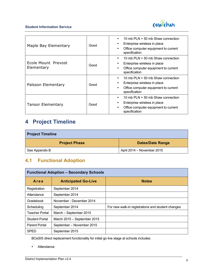

| Maple Bay Elementary              | Good | 10 mb PLN + 50 mb Shaw connection<br>Enterprise wireless in place<br>Office computer equipment to current<br>specification           |
|-----------------------------------|------|--------------------------------------------------------------------------------------------------------------------------------------|
| Ecole Mount Prevost<br>Elementary | Good | 10 mb PLN + 50 mb Shaw connection<br>٠<br>Enterprise wireless in place<br>٠<br>Office computer equipment to current<br>specification |
| Palsson Elementary                | Good | 10 mb $PLN + 50$ mb Shaw connection<br>٠<br>Enterprise wireless in place<br>Office computer equipment to current<br>specification    |
| <b>Tansor Elementary</b>          | Good | 10 mb PLN + 50 mb Shaw connection<br>٠<br>Enterprise wireless in place<br>Office computer equipment to current<br>٠<br>specification |

# **4 Project Timeline**

| <b>Project Timeline</b> |                            |  |  |
|-------------------------|----------------------------|--|--|
| <b>Project Phase</b>    | <b>Dates/Date Range</b>    |  |  |
| See Appendix B          | April 2014 – November 2015 |  |  |

# **4.1 Functional Adoption**

| <b>Functional Adoption - Secondary Schools</b> |                             |                                                   |  |  |
|------------------------------------------------|-----------------------------|---------------------------------------------------|--|--|
| Area                                           | <b>Anticipated Go-Live</b>  | <b>Notes</b>                                      |  |  |
| Registration                                   | September 2014              |                                                   |  |  |
| Attendance                                     | September 2014              |                                                   |  |  |
| Gradebook                                      | November - December 2014    |                                                   |  |  |
| Scheduling                                     | September 2014              | For new walk-in registrations and student changes |  |  |
| <b>Teacher Portal</b>                          | March - September 2015      |                                                   |  |  |
| <b>Student Portal</b>                          | March 2015 - September 2015 |                                                   |  |  |
| <b>Parent Portal</b>                           | September - November 2015   |                                                   |  |  |
| <b>SPED</b>                                    | September 2015              |                                                   |  |  |

BCeSIS direct replacement functionality for initial go live stage at schools includes:

• Attendance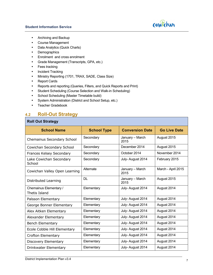

- Archiving and Backup
- Course Management
- Data Analytics (Quick Charts)
- Demographics
- Enrolment and cross enrolment
- Grade Management (Transcripts, GPA, etc.)
- Fees tracking
- Incident Tracking
- Ministry Reporting (1701, TRAX, SADE, Class Size)
- Report Cards
- Reports and reporting (Queries, Filters, and Quick Reports and Print)
- Student Scheduling (Course Selection and Walk-in Scheduling)
- School Scheduling (Master Timetable build)
- System Administration (District and School Setup, etc.)
- Teacher Gradebook

### **4.2 Roll-Out Strategy**

#### **Roll Out Strategy**

| <b>School Name</b>                | <b>School Type</b> | <b>Conversion Date</b>  | <b>Go Live Date</b> |
|-----------------------------------|--------------------|-------------------------|---------------------|
| Chemainus Secondary School        | Secondary          | January - March<br>2015 | August 2015         |
| Cowichan Secondary School         | Secondary          | December 2014           | August 2015         |
| Frances Kelsey Secondary          | Secondary          | October 2014            | November 2014       |
| Lake Cowichan Secondary<br>School | Secondary          | July- August 2014       | February 2015       |
| Cowichan Valley Open Learning     | Alternate          | January - March<br>2015 | March - April 2015  |
| Distributed Learning              | <b>DL</b>          | January - March<br>2015 | August 2015         |
| Chemainus Elementary /            | Elementary         | July- August 2014       | August 2014         |
| Thetis Island                     |                    |                         |                     |
| Palsson Elementary                | Elementary         | July-August 2014        | August 2014         |
| George Bonner Elementary          | Elementary         | July-August 2014        | August 2014         |
| Alex Aitken Elementary            | Elementary         | July-August 2014        | August 2014         |
| Alexander Elementary              | Elementary         | July- August 2014       | August 2014         |
| <b>Bench Elementary</b>           | Elementary         | July-August 2014        | August 2014         |
| Ecole Cobble Hill Elementary      | Elementary         | July-August 2014        | August 2014         |
| Crofton Elementary                | Elementary         | July-August 2014        | August 2014         |
| Discovery Elementary              | Elementary         | July- August 2014       | August 2014         |
| Drinkwater Elementary             | Elementary         | July- August 2014       | August 2014         |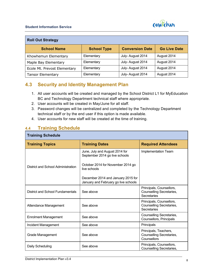

| <b>Roll Out Strategy</b>     |                    |                        |                     |  |
|------------------------------|--------------------|------------------------|---------------------|--|
| <b>School Name</b>           | <b>School Type</b> | <b>Conversion Date</b> | <b>Go Live Date</b> |  |
| Khowhemun Elementary         | Elementary         | July-August 2014       | August 2014         |  |
| Maple Bay Elementary         | Elementary         | July-August 2014       | August 2014         |  |
| Ecole Mt. Prevost Elementary | Elementary         | July-August 2014       | August 2014         |  |
| <b>Tansor Elementary</b>     | Elementary         | July-August 2014       | August 2014         |  |

### **4.3 Security and Identity Management Plan**

- 1. All user accounts will be created and managed by the School District L1 for MyEducation BC and Technology Department technical staff where appropriate.
- 2. User accounts will be created in May/June for all staff.
- 3. Password changes will be centralized and completed by the Technology Department technical staff or by the end user if this option is made available.
- 4. User accounts for new staff will be created at the time of training.

### **4.4 Training Schedule**

#### **Training Schedule**

| <b>Training Topics</b>             | <b>Training Dates</b>                                                      | <b>Required Attendees</b>                                                  |  |  |  |
|------------------------------------|----------------------------------------------------------------------------|----------------------------------------------------------------------------|--|--|--|
|                                    | June, July and August 2014 for<br>September 2014 go live schools           | Implementation Team                                                        |  |  |  |
| District and School Administration | October 2014 for November 2014 go<br>live schools                          |                                                                            |  |  |  |
|                                    | December 2014 and January 2015 for<br>January and February go live schools |                                                                            |  |  |  |
| District and School Fundamentals   | See above                                                                  | Principals, Counsellors,<br>Counselling Secretaries,<br><b>Secretaries</b> |  |  |  |
| Attendance Management              | See above                                                                  | Principals, Counsellors,<br>Counselling Secretaries,<br>Secretaries        |  |  |  |
| <b>Enrolment Management</b>        | See above                                                                  | Counselling Secretaries,<br>Counsellors, Principals                        |  |  |  |
| Incident Management                | See above                                                                  | Principals                                                                 |  |  |  |
| Grade Management                   | See above                                                                  | Principals, Teachers,<br>Counselling Secretaries,<br>Counsellors           |  |  |  |
| Daily Scheduling                   | See above                                                                  | Principals, Counsellors,<br>Counselling Secretaries,                       |  |  |  |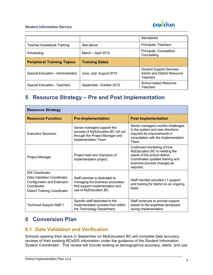

|                                    |                         | Secretaries                                                                       |
|------------------------------------|-------------------------|-----------------------------------------------------------------------------------|
| Teacher Gradebook Training         | See above               | Principals, Teachers                                                              |
| Scheduling                         | March - April 2015      | Principals, Counsellors,<br>Counselling                                           |
| <b>Peripheral Training Topics</b>  | <b>Training Dates</b>   |                                                                                   |
|                                    |                         |                                                                                   |
| Special Education - Administration | June, July, August 2015 | <b>Student Support Services</b><br><b>Admin and District Resource</b><br>Teachers |

# **5 Resource Strategy – Pre and Post Implementation**

| <b>Resource Strategy</b>                                                                                                                    |                                                                                                                              |                                                                                                                                                                               |  |  |  |
|---------------------------------------------------------------------------------------------------------------------------------------------|------------------------------------------------------------------------------------------------------------------------------|-------------------------------------------------------------------------------------------------------------------------------------------------------------------------------|--|--|--|
| <b>Resource Function</b>                                                                                                                    | <b>Pre-Implementation</b>                                                                                                    | <b>Post Implementation</b>                                                                                                                                                    |  |  |  |
| <b>Executive Sponsors</b>                                                                                                                   | Senior managers support the<br>process of MyEducation BC roll out<br>through the Project Manager and<br>Implementation Team. | Senior managers monitor challenges<br>in the system and new directions<br>required for improvements in<br>consultation with the Implementation<br>Team.                       |  |  |  |
| Project Manager                                                                                                                             | Project lead and champion of<br>implementation project.                                                                      | Continued monitoring of how<br>MyEducation BC is meeting the<br>needs of the school district.<br>Coordinates updated training and<br>business process changes as<br>required. |  |  |  |
| <b>SIS Coordinator</b><br>Data Validation Coordinator<br>Configuration and Extension<br>Coordinator<br><b>District Training Coordinator</b> | Staff member is dedicated to<br>managing the business processes<br>that support implementation and<br>use of MyEducation BC. | Staff member provides L1 support<br>and training for district on an ongoing<br>basis.                                                                                         |  |  |  |
| Technical Support Staff 1                                                                                                                   | Specific staff dedicated to the<br>implementation process from within<br>the Technology Department.                          | Staff continues to provide support<br>based on the expertise developed<br>during implementation.                                                                              |  |  |  |

# **6 Conversion Plan**

### **6.1 Data Validation and Verification**

Schools opening their doors in September on MyEducation BC will complete data accuracy reviews of their existing BCeSIS information under the guidance of the Student Information System Coordinator. This review will include looking at demographics accuracy, alerts, and use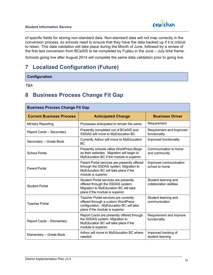

of specific fields for storing non-standard data. Non-standard data will not map correctly in the conversion process, so schools need to ensure that they have the data backed up if it is critical to retain. This data validation will take place during the Month of June, followed by a review of the first test conversion from BCeSIS to be completed by Fujitsu in the June – July time frame.

Schools going live after August 2014 will complete the same data validation prior to going live.

# **7 Localized Configuration (Future)**

**Configuration**

*TBA*

# **8 Business Process Change Fit Gap**

| <b>Business Process Change Fit Gap</b> |                                                                                                                                                            |                                                 |  |  |  |
|----------------------------------------|------------------------------------------------------------------------------------------------------------------------------------------------------------|-------------------------------------------------|--|--|--|
| <b>Current Business Process</b>        | <b>Anticipated Change</b>                                                                                                                                  | <b>Business Driver</b>                          |  |  |  |
| <b>Ministry Reporting</b>              | Processes anticipated to remain the same                                                                                                                   | Requirement                                     |  |  |  |
| <b>Report Cards - Secondary</b>        | Presently completed out of BCeSIS and<br>SSDAS will move to MyEducation BC                                                                                 | Requirement and improved<br>functionality       |  |  |  |
| Secondary - Grade Book                 | Currently Adhoc will move to MyEducation<br>ВC                                                                                                             | Improved functionality                          |  |  |  |
| <b>School Portal</b>                   | Presently schools utilize WordPress Blogs<br>as their websites. Migration will begin to<br>MyEducation BC if the module is superior.                       | Communication to home<br>and community          |  |  |  |
| <b>Parent Portal</b>                   | Parent Portal services are presently offered<br>through the SSDAS system. Migration to<br>MyEducation BC will take place if the<br>module is superior.     | Improved communication<br>school to home        |  |  |  |
| <b>Student Portal</b>                  | Student Portal services are presently<br>offered through the SSDAS system.<br>Migration to MyEducation BC will take<br>place if the module is superior.    | Student learning and<br>collaboration abilities |  |  |  |
| <b>Teacher Portal</b>                  | Teacher Portal services are currently<br>offered through a custom WordPress<br>configuration. MyEducation BC will take<br>place if the module is superior. | Student learning and<br>communication           |  |  |  |
| Report Cards - Elementary              | Report Cards are presently offered through<br>the SSDAS system. Migration to<br>MyEducation BC will take place if the<br>module is superior.               | Requirement and improve<br>functionality        |  |  |  |
| Elementary - Grade Book                | Adhoc will move to MyEducation BC where<br>needed                                                                                                          | Improved tracking of<br>student learning        |  |  |  |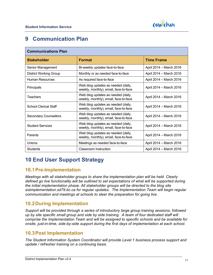

# **9 Communication Plan**

| <b>Communications Plan</b>    |                                                                             |                         |  |  |  |
|-------------------------------|-----------------------------------------------------------------------------|-------------------------|--|--|--|
| <b>Stakeholder</b>            | <b>Format</b>                                                               | <b>Time Frame</b>       |  |  |  |
| Senior Management             | Bi-weekly updates face-to-face                                              | April 2014 - March 2016 |  |  |  |
| <b>District Working Group</b> | Monthly or as needed face-to-face                                           | April 2014 - March 2016 |  |  |  |
| <b>Human Resources</b>        | As required face-to-face                                                    | April 2014 - March 2016 |  |  |  |
| Principals                    | Web blog updates as needed (daily,<br>weekly, monthly), email, face-to-face | April 2014 - March 2016 |  |  |  |
| <b>Teachers</b>               | Web blog updates as needed (daily,<br>weekly, monthly), email, face-to-face | April 2014 - March 2016 |  |  |  |
| <b>School Clerical Staff</b>  | Web blog updates as needed (daily,<br>weekly, monthly), email, face-to-face | April 2014 - March 2016 |  |  |  |
| <b>Secondary Counsellors</b>  | Web blog updates as needed (daily,<br>weekly, monthly), email, face-to-face | April 2014 - March 2016 |  |  |  |
| <b>Student Services</b>       | Web blog updates as needed (daily,<br>weekly, monthly), email, face-to-face | April 2014 - March 2016 |  |  |  |
| Parents                       | Web blog updates as needed (daily,<br>weekly, monthly), email, face-to-face | April 2014 - March 2016 |  |  |  |
| Unions                        | Meetings as needed face-to-face                                             | April 2014 - March 2016 |  |  |  |
| <b>Students</b>               | Classroom instruction                                                       | April 2014 - March 2016 |  |  |  |

# **10 End User Support Strategy**

### **10.1Pre-Implementation**

*Meetings with all stakeholder groups to share the implementation plan will be held. Clearly defined go live functionality will be outlined to set expectations of what will be supported during the initial implementation phase. All stakeholder groups will be directed to the blog site sisimplementation.sd79.bc.ca for regular updates. The Implementation Team will begin regular communication and meetings at schools to steer the preparation for going live.*

### **10.2During Implementation**

*Support will be provided through a series of introductory large group training sessions, followed up by site specific small group and side by side training. A team of four dedicated staff will comprise the Implementation Team and will be assigned to specific schools and be available for onsite, just-in-time, side-by-side support during the first days of implementation at each school.*

### **10.3Post Implementation**

*The Student Information System Coordinator will provide Level 1 business process support and update / refresher training on a continuing basis.*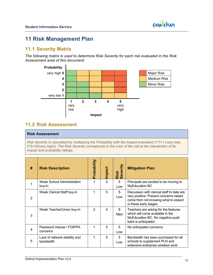

# **11 Risk Management Plan**

### **11.1 Severity Matrix**

*The following matrix is used to determine Risk Severity for each risk evaluated in the Risk Assessment area of this document:*



### **11.2 Risk Assessment**

#### **Risk Assessment**

*Risk Severity is calculated by multiplying the Probability with the Impact evaluated (1\*1=1 (very low), 5\*5=25(very high)). The Risk Severity corresponds to the color of the cell at the intersection of its impact and probability ratings.*

| # | <b>Risk Description</b>                    | Probability    | Impact | rity<br>ever<br>Risk<br>Seve | <b>Mitigation Plan</b>                                                                                                                                 |
|---|--------------------------------------------|----------------|--------|------------------------------|--------------------------------------------------------------------------------------------------------------------------------------------------------|
|   | Weak School Administration<br>buy-in       |                | 5      | 5<br>Low                     | Principals are excited to be moving to<br><b>MyEducation BC</b>                                                                                        |
| 2 | Weak Clerical Staff buy-in                 | 1              | 5      | 5<br>Low                     | Discussion with clerical staff to date are<br>very positive. Present concerns raised<br>come from not knowing what to expect<br>in these early stages. |
| 3 | Weak Teacher/Union buy-in                  | $\mathfrak{p}$ | 4      | 8<br>Med                     | Teachers are asking for the features<br>which will come available in the<br>MyEducation BC. No negative push<br>back is anticipated.                   |
| 4 | Password misuse / FOIPPA<br>concerns       | 1              | 5      | 5<br>Low                     | No anticipated concerns.                                                                                                                               |
| 5 | Lack of network stability and<br>bandwidth | 1              | 5      | 5<br>Low                     | Bandwidth has been purchased for all<br>schools to supplement PLN and<br>extensive enterprise wireless work                                            |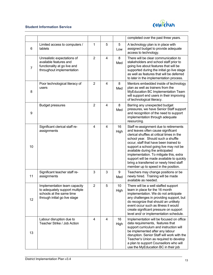

|                |                                                                                                                             |                |                |            | completed over the past three years.                                                                                                                                                                                                                                                                                                                                                                                                                                |
|----------------|-----------------------------------------------------------------------------------------------------------------------------|----------------|----------------|------------|---------------------------------------------------------------------------------------------------------------------------------------------------------------------------------------------------------------------------------------------------------------------------------------------------------------------------------------------------------------------------------------------------------------------------------------------------------------------|
| 6              | Limited access to computers /<br>tablets                                                                                    | 1              | 5              | 5<br>Low   | A technology plan is in place with<br>assigned budget to provide adequate<br>access to technology.                                                                                                                                                                                                                                                                                                                                                                  |
| $\overline{7}$ | Unrealistic expectations of<br>available features and<br>functionality at go live and<br>throughout implementation          | $\overline{2}$ | $\overline{4}$ | 8<br>Med   | There will be clear communication to<br>stakeholders and school staff prior to<br>going live about features that will be<br>supported during the initial go live stage<br>as well as features that will be deferred<br>to later in the implementation process.                                                                                                                                                                                                      |
| 8              | Poor technological literacy of<br>users                                                                                     | $\overline{2}$ | 4              | 8<br>Med   | Mentors embedded inside of technology<br>plan as well as trainers from the<br>MyEducation BC Implementation Team<br>will support end users in their improving<br>of technological literacy.                                                                                                                                                                                                                                                                         |
| 9              | <b>Budget pressures</b>                                                                                                     | $\overline{2}$ | 4              | 8<br>Med   | Barring any unexpected budget<br>pressures, we have Senior Staff support<br>and recognition of the need to support<br>implementation through adequate<br>resourcing.                                                                                                                                                                                                                                                                                                |
| 10             | Significant clerical staff re-<br>assignments                                                                               | 4              | 4              | 16<br>High | Staff re-assignment due to retirements<br>and leaves often cause significant<br>clerical shuffles at critical times in the<br>school year. Should such a shuffle<br>occur, staff that have been trained to<br>support a school going live may not be<br>available during the anticipated<br>implementation. To mitigate this, extra<br>support will be made available to quickly<br>bring a transferred or newly hired staff<br>member up to speed in the position. |
| 11             | Significant teacher staff re-<br>assignments                                                                                | 3              | 3              | 9<br>Med   | Teachers may change positions or be<br>newly hired. Training will be made<br>available as needed.                                                                                                                                                                                                                                                                                                                                                                   |
| 12             | Implementation team capacity<br>to adequately support multiple<br>schools at the same time<br>through initial go live stage | $\overline{2}$ | 5              | 10<br>High | There will be a well staffed support<br>team in place for the 16 month<br>implementation. We do not anticipate<br>any challenges in providing support, but<br>do recognize that should an unlikely<br>event occur such as illness it would<br>create significant pressure on support<br>level and/ or implementation schedule.                                                                                                                                      |
| 13             | Labour disruption due to<br>Teacher Strike / Job Action                                                                     | $\overline{4}$ | $\overline{4}$ | 16<br>High | Implementation will be focused on office<br>data requirements, features that<br>support curriculum and instruction will<br>be implemented after any labour<br>disruption. Senior Staff will work with the<br>Teacher's Union as required to develop<br>a plan to support Counsellors who will<br>use the MyEducation BC in their job                                                                                                                                |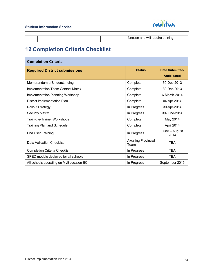

| . .<br><b>WIL</b> |  |  |  |
|-------------------|--|--|--|
|                   |  |  |  |

# **12 Completion Criteria Checklist**

| <b>Completion Criteria</b>                |                                    |                                       |  |  |
|-------------------------------------------|------------------------------------|---------------------------------------|--|--|
| <b>Required District submissions</b>      | <b>Status</b>                      | Date Submitted/<br><b>Anticipated</b> |  |  |
| Memorandum of Understanding               | Complete                           | 30-Dec-2013                           |  |  |
| <b>Implementation Team Contact Matrix</b> | Complete                           | 30-Dec-2013                           |  |  |
| Implementation Planning Workshop          | Complete                           | 6-March-2014                          |  |  |
| District Implementation Plan              | Complete                           | 04-Apr-2014                           |  |  |
| <b>Rollout Strategy</b>                   | In Progress                        | 30-Apr-2014                           |  |  |
| <b>Security Matrix</b>                    | In Progress                        | 30-June-2014                          |  |  |
| Train-the-Trainer Workshops               | Complete                           | May 2014                              |  |  |
| <b>Training Plan and Schedule</b>         | Complete                           | April 2014                            |  |  |
| <b>End User Training</b>                  | In Progress                        | June - August<br>2014                 |  |  |
| Data Validation Checklist                 | <b>Awaiting Provincial</b><br>Team | TBA                                   |  |  |
| <b>Completion Criteria Checklist</b>      | In Progress                        | <b>TBA</b>                            |  |  |
| SPED module deployed for all schools      | In Progress                        | <b>TBA</b>                            |  |  |
| All schools operating on MyEducation BC   | In Progress                        | September 2015                        |  |  |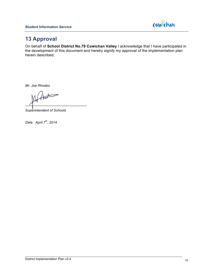

# **13 Approval**

On behalf of **School District No.79 Cowichan Valley** I acknowledge that I have participated in the development of this document and hereby signify my approval of the implementation plan herein described:

*Mr. Joe Rhodes*

*\_\_\_\_\_\_\_\_\_\_\_\_\_\_\_\_\_\_\_\_\_\_\_\_\_\_\_\_\_\_*

*Superintendent of Schools*

*Date : April 7th, 2014*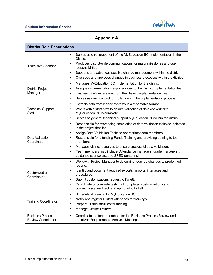

### **Appendix A**

| <b>District Role Descriptions</b>                    |                                                                                                                              |
|------------------------------------------------------|------------------------------------------------------------------------------------------------------------------------------|
|                                                      | Serves as chief proponent of the MyEducation BC Implementation in the<br><b>District</b>                                     |
| <b>Executive Sponsor</b>                             | Produces district-wide communications for major milestones and user<br>responsibilities                                      |
|                                                      | Supports and advances positive change management within the district.<br>$\bullet$                                           |
|                                                      | Oversees and approves changes in business processes within the district.<br>٠                                                |
|                                                      | Manages MyEducation BC implementation for the district.<br>$\bullet$                                                         |
| <b>District Project</b>                              | Assigns implementation responsibilities to the District Implementation team.<br>$\bullet$                                    |
| Manager                                              | Ensures timelines are met from the District Implementation Team.<br>$\bullet$                                                |
|                                                      | Serves as main contact for Follett during the implementation process.<br>٠                                                   |
|                                                      | Extracts data from legacy systems in a repeatable format.<br>$\bullet$                                                       |
| <b>Technical Support</b><br>Staff                    | Works with district staff to ensure validation of data converted to<br>$\bullet$<br>MyEducation BC is complete.              |
|                                                      | Serves as general technical support MyEducation BC within the district.<br>$\bullet$                                         |
|                                                      | Responsible for overseeing completion of data validation tasks as indicated<br>٠<br>in the project timeline                  |
|                                                      | Assign Data Validation Tasks to appropriate team members<br>٠                                                                |
| Data Validation<br>Coordinator                       | Responsible for attending Pando Training and providing training to team<br>٠<br>members.                                     |
|                                                      | Manages district resources to ensure successful data validation.<br>$\bullet$                                                |
|                                                      | Team members may include: Attendance managers, grade managers,,<br>$\bullet$<br>guidance counselors, and SPED personnel      |
|                                                      | Work with Project Manager to determine required changes to predefined<br>$\bullet$<br>reports.                               |
| Customization<br>Coordinator                         | Identify and document required exports, imports, interfaces and<br>$\bullet$<br>procedures.                                  |
|                                                      | Submit customizations request to Follett.<br>$\bullet$                                                                       |
|                                                      | Coordinate or complete testing of completed customizations and<br>$\bullet$<br>communicate feedback and approval to Follett. |
| <b>Training Coordinator</b>                          | Schedule all training for MyEducation BC<br>$\bullet$                                                                        |
|                                                      | Notify and register District Attendees for trainings                                                                         |
|                                                      | Prepare District facilities for training                                                                                     |
|                                                      | <b>Manage District Trainers</b><br>$\bullet$                                                                                 |
| <b>Business Process</b><br><b>Review Coordinator</b> | Coordinate the team members for the Business Process Review and<br>Localized Requirements Analysis Meetings                  |